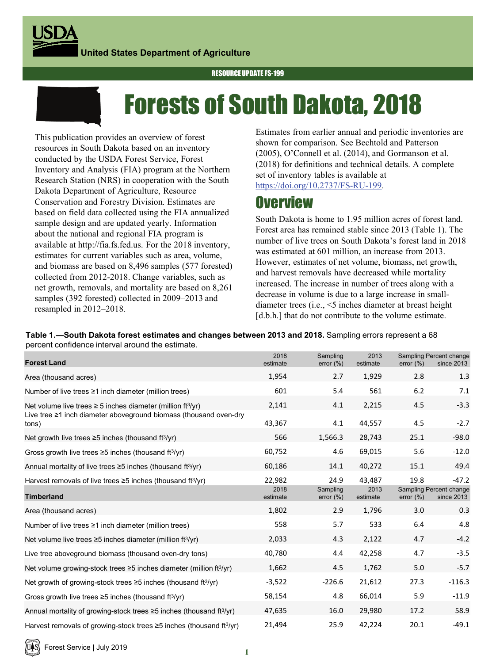RESOURCE UPDATE FS-199



# Forests of South Dakota, 2018

This publication provides an overview of forest resources in South Dakota based on an inventory conducted by the USDA Forest Service, Forest Inventory and Analysis (FIA) program at the Northern Research Station (NRS) in cooperation with the South Dakota Department of Agriculture, Resource Conservation and Forestry Division. Estimates are based on field data collected using the FIA annualized sample design and are updated yearly. Information about the national and regional FIA program is available at http://fia.fs.fed.us. For the 2018 inventory, estimates for current variables such as area, volume, and biomass are based on 8,496 samples (577 forested) collected from 2012-2018. Change variables, such as net growth, removals, and mortality are based on 8,261 samples (392 forested) collected in 2009–2013 and resampled in 2012–2018.

Estimates from earlier annual and periodic inventories are shown for comparison. See Bechtold and Patterson (2005), O'Connell et al. (2014), and Gormanson et al. (2018) for definitions and technical details. A complete set of inventory tables is available at https://doi.org/10.2737/FS-RU-199.

### **Overview**

South Dakota is home to 1.95 million acres of forest land. Forest area has remained stable since 2013 (Table 1). The number of live trees on South Dakota's forest land in 2018 was estimated at 601 million, an increase from 2013. However, estimates of net volume, biomass, net growth, and harvest removals have decreased while mortality increased. The increase in number of trees along with a decrease in volume is due to a large increase in smalldiameter trees (i.e., <5 inches diameter at breast height [d.b.h.] that do not contribute to the volume estimate.

**Table 1.—South Dakota forest estimates and changes between 2013 and 2018.** Sampling errors represent a 68 percent confidence interval around the estimate.

| <b>Forest Land</b>                                                                     | 2018<br>estimate | Sampling<br>error $(\%)$ | 2013<br>estimate | error $(\%)$ | Sampling Percent change<br>since 2013 |
|----------------------------------------------------------------------------------------|------------------|--------------------------|------------------|--------------|---------------------------------------|
| Area (thousand acres)                                                                  | 1,954            | 2.7                      | 1,929            | 2.8          | 1.3                                   |
| Number of live trees $\geq 1$ inch diameter (million trees)                            | 601              | 5.4                      | 561              | 6.2          | 7.1                                   |
| Net volume live trees $\geq 5$ inches diameter (million ft <sup>3</sup> /yr)           | 2,141            | 4.1                      | 2,215            | 4.5          | $-3.3$                                |
| Live tree $\geq 1$ inch diameter aboveground biomass (thousand oven-dry<br>tons)       | 43,367           | 4.1                      | 44,557           | 4.5          | $-2.7$                                |
| Net growth live trees $\geq$ 5 inches (thousand ft $3/yr$ )                            | 566              | 1,566.3                  | 28,743           | 25.1         | $-98.0$                               |
| Gross growth live trees $\geq$ 5 inches (thousand ft $\frac{3}{yr}$ )                  | 60,752           | 4.6                      | 69,015           | 5.6          | $-12.0$                               |
| Annual mortality of live trees $\geq$ 5 inches (thousand ft <sup>3</sup> /yr)          | 60,186           | 14.1                     | 40,272           | 15.1         | 49.4                                  |
| Harvest removals of live trees $\geq$ 5 inches (thousand ft $\frac{3}{yr}$ )           | 22,982           | 24.9                     | 43,487           | 19.8         | $-47.2$                               |
| <b>Timberland</b>                                                                      | 2018<br>estimate | Sampling<br>error $(\%)$ | 2013<br>estimate | error $(\%)$ | Sampling Percent change<br>since 2013 |
| Area (thousand acres)                                                                  | 1,802            | 2.9                      | 1,796            | 3.0          | 0.3                                   |
| Number of live trees $\geq 1$ inch diameter (million trees)                            | 558              | 5.7                      | 533              | 6.4          | 4.8                                   |
| Net volume live trees ≥5 inches diameter (million ft <sup>3/</sup> yr)                 | 2,033            | 4.3                      | 2,122            | 4.7          | $-4.2$                                |
| Live tree aboveground biomass (thousand oven-dry tons)                                 | 40,780           | 4.4                      | 42,258           | 4.7          | $-3.5$                                |
| Net volume growing-stock trees $\geq$ 5 inches diameter (million ft <sup>3</sup> /yr)  | 1,662            | 4.5                      | 1,762            | 5.0          | $-5.7$                                |
| Net growth of growing-stock trees $\geq$ 5 inches (thousand ft <sup>3</sup> /yr)       | $-3,522$         | $-226.6$                 | 21,612           | 27.3         | $-116.3$                              |
| Gross growth live trees $\geq$ 5 inches (thousand ft <sup>3</sup> /yr)                 | 58,154           | 4.8                      | 66,014           | 5.9          | $-11.9$                               |
| Annual mortality of growing-stock trees $\geq$ 5 inches (thousand ft <sup>3</sup> /yr) | 47,635           | 16.0                     | 29,980           | 17.2         | 58.9                                  |
| Harvest removals of growing-stock trees $\geq$ 5 inches (thousand ft <sup>3</sup> /yr) | 21,494           | 25.9                     | 42,224           | 20.1         | $-49.1$                               |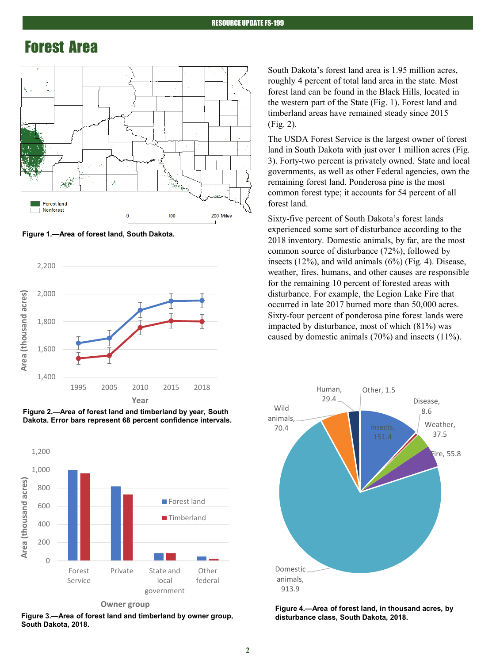#### Forest Area



**Figure 1.—Area of forest land, South Dakota.**



**Figure 2.—Area of forest land and timberland by year, South Dakota. Error bars represent 68 percent confidence intervals.**



**Owner group**

Figure 3.—Area of forest land and timberland by owner group, **South Dakota, 2018.**

South Dakota's forest land area is 1.95 million acres, roughly 4 percent of total land area in the state. Most forest land can be found in the Black Hills, located in the western part of the State (Fig. 1). Forest land and timberland areas have remained steady since 2015 (Fig. 2).

The USDA Forest Service is the largest owner of forest land in South Dakota with just over 1 million acres (Fig. 3). Forty-two percent is privately owned. State and local governments, as well as other Federal agencies, own the remaining forest land. Ponderosa pine is the most common forest type; it accounts for 54 percent of all forest land.

Sixty-five percent of South Dakota's forest lands experienced some sort of disturbance according to the 2018 inventory. Domestic animals, by far, are the most common source of disturbance (72%), followed by insects (12%), and wild animals (6%) (Fig. 4). Disease, weather, fires, humans, and other causes are responsible for the remaining 10 percent of forested areas with disturbance. For example, the Legion Lake Fire that occurred in late 2017 burned more than 50,000 acres. Sixty-four percent of ponderosa pine forest lands were impacted by disturbance, most of which (81%) was caused by domestic animals (70%) and insects (11%).



**Figure 4.—Area of forest land, in thousand acres, by**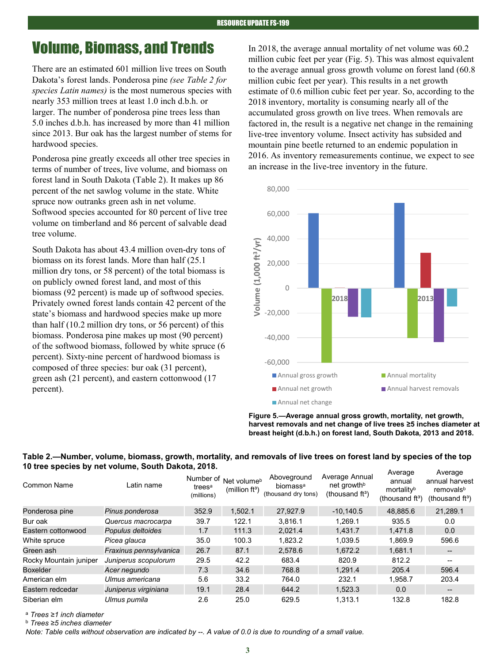### Volume, Biomass, and Trends

There are an estimated 601 million live trees on South Dakota's forest lands. Ponderosa pine *(see Table 2 for species Latin names)* is the most numerous species with nearly 353 million trees at least 1.0 inch d.b.h. or larger. The number of ponderosa pine trees less than 5.0 inches d.b.h. has increased by more than 41 million since 2013. Bur oak has the largest number of stems for hardwood species.

Ponderosa pine greatly exceeds all other tree species in terms of number of trees, live volume, and biomass on forest land in South Dakota (Table 2). It makes up 86 percent of the net sawlog volume in the state. White spruce now outranks green ash in net volume. Softwood species accounted for 80 percent of live tree volume on timberland and 86 percent of salvable dead tree volume.

South Dakota has about 43.4 million oven-dry tons of biomass on its forest lands. More than half (25.1 million dry tons, or 58 percent) of the total biomass is on publicly owned forest land, and most of this biomass (92 percent) is made up of softwood species. Privately owned forest lands contain 42 percent of the state's biomass and hardwood species make up more than half (10.2 million dry tons, or 56 percent) of this biomass. Ponderosa pine makes up most (90 percent) of the softwood biomass, followed by white spruce (6 percent). Sixty-nine percent of hardwood biomass is composed of three species: bur oak (31 percent), green ash (21 percent), and eastern cottonwood (17 percent).

In 2018, the average annual mortality of net volume was 60.2 million cubic feet per year (Fig. 5). This was almost equivalent to the average annual gross growth volume on forest land (60.8 million cubic feet per year). This results in a net growth estimate of 0.6 million cubic feet per year. So, according to the 2018 inventory, mortality is consuming nearly all of the accumulated gross growth on live trees. When removals are factored in, the result is a negative net change in the remaining live-tree inventory volume. Insect activity has subsided and mountain pine beetle returned to an endemic population in 2016. As inventory remeasurements continue, we expect to see an increase in the live-tree inventory in the future.



**Figure 5.—Average annual gross growth, mortality, net growth, harvest removals and net change of live trees ≥5 inches diameter at breast height (d.b.h.) on forest land, South Dakota, 2013 and 2018.**

**Table 2.—Number, volume, biomass, growth, mortality, and removals of live trees on forest land by species of the top 10 tree species by net volume, South Dakota, 2018.**

| Latin name             | trees <sup>a</sup><br>(millions) | (million ft <sup>3</sup> ) | Aboveground<br>biomassa<br>(thousand dry tons) | Average Annual<br>net growth <sup>b</sup><br>(thousand $ft^3$ ) | annual<br>mortalityb<br>(thousand $ft^3$ ) | Average<br>annual harvest<br>removalsb<br>(thousand $ft^3$ ) |
|------------------------|----------------------------------|----------------------------|------------------------------------------------|-----------------------------------------------------------------|--------------------------------------------|--------------------------------------------------------------|
| Pinus ponderosa        | 352.9                            | 1.502.1                    | 27.927.9                                       | $-10.140.5$                                                     | 48.885.6                                   | 21.289.1                                                     |
| Quercus macrocarpa     | 39.7                             | 122.1                      | 3.816.1                                        | 1.269.1                                                         | 935.5                                      | 0.0                                                          |
| Populus deltoides      | 1.7                              | 111.3                      | 2,021.4                                        | 1,431.7                                                         | 1,471.8                                    | 0.0                                                          |
| Picea glauca           | 35.0                             | 100.3                      | 1.823.2                                        | 1.039.5                                                         | 1.869.9                                    | 596.6                                                        |
| Fraxinus pennsylvanica | 26.7                             | 87.1                       | 2,578.6                                        | 1.672.2                                                         | 1.681.1                                    | --                                                           |
| Juniperus scopulorum   | 29.5                             | 42.2                       | 683.4                                          | 820.9                                                           | 812.2                                      | $- -$                                                        |
| Acer negundo           | 7.3                              | 34.6                       | 768.8                                          | 1.291.4                                                         | 205.4                                      | 596.4                                                        |
| Ulmus americana        | 5.6                              | 33.2                       | 764.0                                          | 232.1                                                           | 1.958.7                                    | 203.4                                                        |
| Juniperus virginiana   | 19.1                             | 28.4                       | 644.2                                          | 1.523.3                                                         | 0.0                                        | --                                                           |
| Ulmus pumila           | 2.6                              | 25.0                       | 629.5                                          | 1.313.1                                                         | 132.8                                      | 182.8                                                        |
|                        |                                  |                            | Number of                                      | Net volume <sup>b</sup>                                         |                                            | Average                                                      |

<sup>a</sup> *Trees ≥1 inch diameter*

<sup>b</sup> *Trees ≥5 inches diameter*

*Note: Table cells without observation are indicated by --. A value of 0.0 is due to rounding of a small value.*